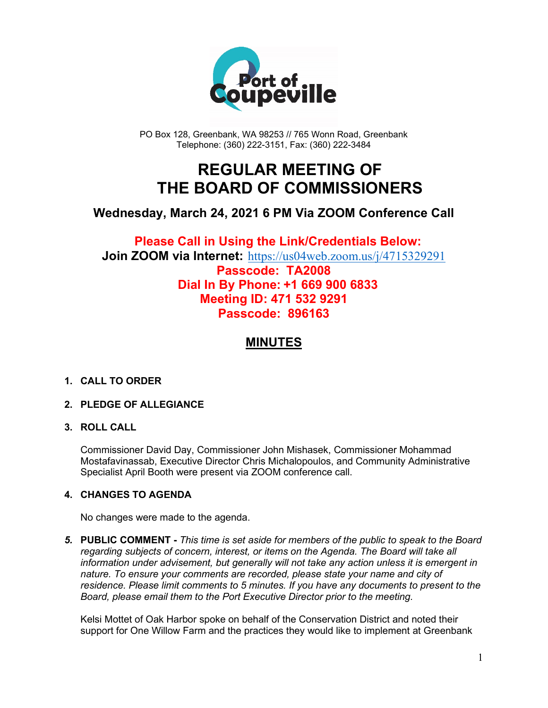

PO Box 128, Greenbank, WA 98253 // 765 Wonn Road, Greenbank Telephone: (360) 222-3151, Fax: (360) 222-3484

## **REGULAR MEETING OF THE BOARD OF COMMISSIONERS**

## **Wednesday, March 24, 2021 6 PM Via ZOOM Conference Call**

### **Please Call in Using the Link/Credentials Below: Join ZOOM via Internet:** <https://us04web.zoom.us/j/4715329291> **Passcode: TA2008 Dial In By Phone: +1 669 900 6833 Meeting ID: 471 532 9291 Passcode: 896163**

## **MINUTES**

#### **1. CALL TO ORDER**

#### **2. PLEDGE OF ALLEGIANCE**

#### **3. ROLL CALL**

Commissioner David Day, Commissioner John Mishasek, Commissioner Mohammad Mostafavinassab, Executive Director Chris Michalopoulos, and Community Administrative Specialist April Booth were present via ZOOM conference call.

#### **4. CHANGES TO AGENDA**

No changes were made to the agenda.

*5.* **PUBLIC COMMENT -** *This time is set aside for members of the public to speak to the Board regarding subjects of concern, interest, or items on the Agenda. The Board will take all information under advisement, but generally will not take any action unless it is emergent in nature. To ensure your comments are recorded, please state your name and city of residence. Please limit comments to 5 minutes. If you have any documents to present to the Board, please email them to the Port Executive Director prior to the meeting.*

Kelsi Mottet of Oak Harbor spoke on behalf of the Conservation District and noted their support for One Willow Farm and the practices they would like to implement at Greenbank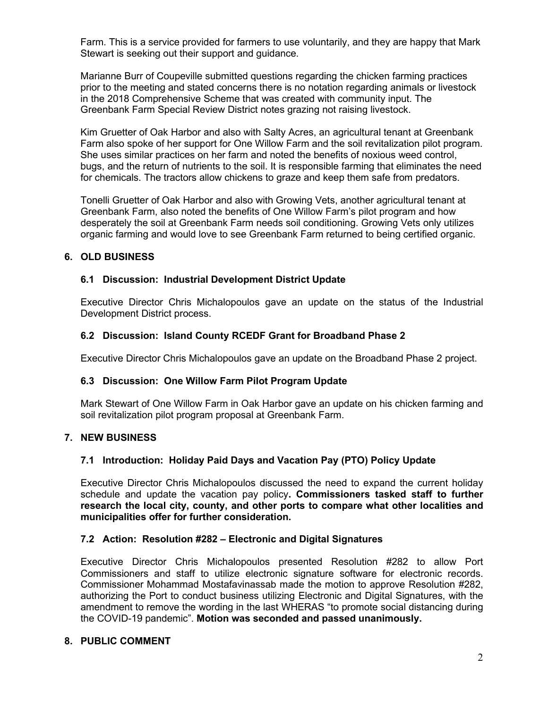Farm. This is a service provided for farmers to use voluntarily, and they are happy that Mark Stewart is seeking out their support and guidance.

Marianne Burr of Coupeville submitted questions regarding the chicken farming practices prior to the meeting and stated concerns there is no notation regarding animals or livestock in the 2018 Comprehensive Scheme that was created with community input. The Greenbank Farm Special Review District notes grazing not raising livestock.

Kim Gruetter of Oak Harbor and also with Salty Acres, an agricultural tenant at Greenbank Farm also spoke of her support for One Willow Farm and the soil revitalization pilot program. She uses similar practices on her farm and noted the benefits of noxious weed control, bugs, and the return of nutrients to the soil. It is responsible farming that eliminates the need for chemicals. The tractors allow chickens to graze and keep them safe from predators.

Tonelli Gruetter of Oak Harbor and also with Growing Vets, another agricultural tenant at Greenbank Farm, also noted the benefits of One Willow Farm's pilot program and how desperately the soil at Greenbank Farm needs soil conditioning. Growing Vets only utilizes organic farming and would love to see Greenbank Farm returned to being certified organic.

#### **6. OLD BUSINESS**

#### **6.1 Discussion: Industrial Development District Update**

Executive Director Chris Michalopoulos gave an update on the status of the Industrial Development District process.

#### **6.2 Discussion: Island County RCEDF Grant for Broadband Phase 2**

Executive Director Chris Michalopoulos gave an update on the Broadband Phase 2 project.

#### **6.3 Discussion: One Willow Farm Pilot Program Update**

Mark Stewart of One Willow Farm in Oak Harbor gave an update on his chicken farming and soil revitalization pilot program proposal at Greenbank Farm.

#### **7. NEW BUSINESS**

#### **7.1 Introduction: Holiday Paid Days and Vacation Pay (PTO) Policy Update**

Executive Director Chris Michalopoulos discussed the need to expand the current holiday schedule and update the vacation pay policy**. Commissioners tasked staff to further research the local city, county, and other ports to compare what other localities and municipalities offer for further consideration.**

#### **7.2 Action: Resolution #282 – Electronic and Digital Signatures**

Executive Director Chris Michalopoulos presented Resolution #282 to allow Port Commissioners and staff to utilize electronic signature software for electronic records. Commissioner Mohammad Mostafavinassab made the motion to approve Resolution #282, authorizing the Port to conduct business utilizing Electronic and Digital Signatures, with the amendment to remove the wording in the last WHERAS "to promote social distancing during the COVID-19 pandemic". **Motion was seconded and passed unanimously.**

#### **8. PUBLIC COMMENT**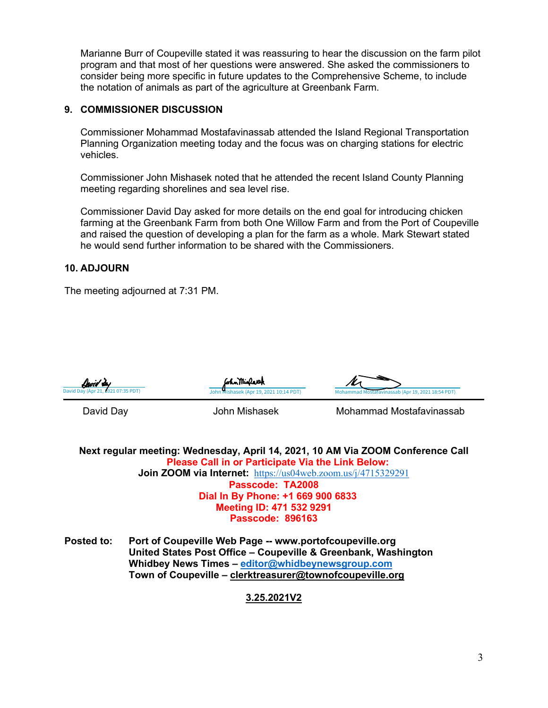Marianne Burr of Coupeville stated it was reassuring to hear the discussion on the farm pilot program and that most of her questions were answered. She asked the commissioners to consider being more specific in future updates to the Comprehensive Scheme, to include the notation of animals as part of the agriculture at Greenbank Farm.

#### **9. COMMISSIONER DISCUSSION**

Commissioner Mohammad Mostafavinassab attended the Island Regional Transportation Planning Organization meeting today and the focus was on charging stations for electric vehicles.

Commissioner John Mishasek noted that he attended the recent Island County Planning meeting regarding shorelines and sea level rise.

Commissioner David Day asked for more details on the end goal for introducing chicken farming at the Greenbank Farm from both One Willow Farm and from the Port of Coupeville and raised the question of developing a plan for the farm as a whole. Mark Stewart stated he would send further information to be shared with the Commissioners.

#### **10. ADJOURN**

The meeting adjourned at 7:31 PM.







David Day **Mohammad Mostafavinassab** John Mishasek Mohammad Mostafavinassab

**Next regular meeting: Wednesday, April 14, 2021, 10 AM Via ZOOM Conference Call Please Call in or Participate Via the Link Below: Join ZOOM via Internet:** <https://us04web.zoom.us/j/4715329291> **Passcode: TA2008 Dial In By Phone: +1 669 900 6833 Meeting ID: 471 532 9291 Passcode: 896163**

**Posted to: Port of Coupeville Web Page -- www.portofcoupeville.org United States Post Office – Coupeville & Greenbank, Washington Whidbey News Times – [editor@whidbeynewsgroup.com](mailto:editor@whidbeynewsgroup.com) Town of Coupeville – [clerktreasurer@townofcoupeville.org](mailto:clerktreasurer@townofcoupeville.org)**

#### **3.25.2021V2**